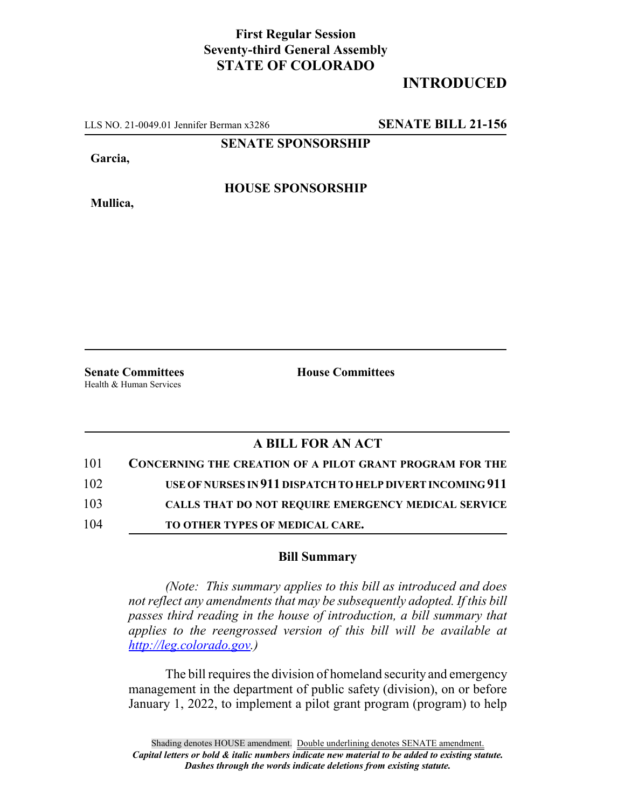## **First Regular Session Seventy-third General Assembly STATE OF COLORADO**

## **INTRODUCED**

LLS NO. 21-0049.01 Jennifer Berman x3286 **SENATE BILL 21-156**

**SENATE SPONSORSHIP**

**Garcia,**

**HOUSE SPONSORSHIP**

**Mullica,**

**Senate Committees House Committees** Health & Human Services

## **A BILL FOR AN ACT**

| 101 | <b>CONCERNING THE CREATION OF A PILOT GRANT PROGRAM FOR THE</b> |
|-----|-----------------------------------------------------------------|
| 102 | USE OF NURSES IN 911 DISPATCH TO HELP DIVERT INCOMING 911       |
| 103 | CALLS THAT DO NOT REQUIRE EMERGENCY MEDICAL SERVICE             |
| 104 | <b>TO OTHER TYPES OF MEDICAL CARE.</b>                          |

## **Bill Summary**

*(Note: This summary applies to this bill as introduced and does not reflect any amendments that may be subsequently adopted. If this bill passes third reading in the house of introduction, a bill summary that applies to the reengrossed version of this bill will be available at http://leg.colorado.gov.)*

The bill requires the division of homeland security and emergency management in the department of public safety (division), on or before January 1, 2022, to implement a pilot grant program (program) to help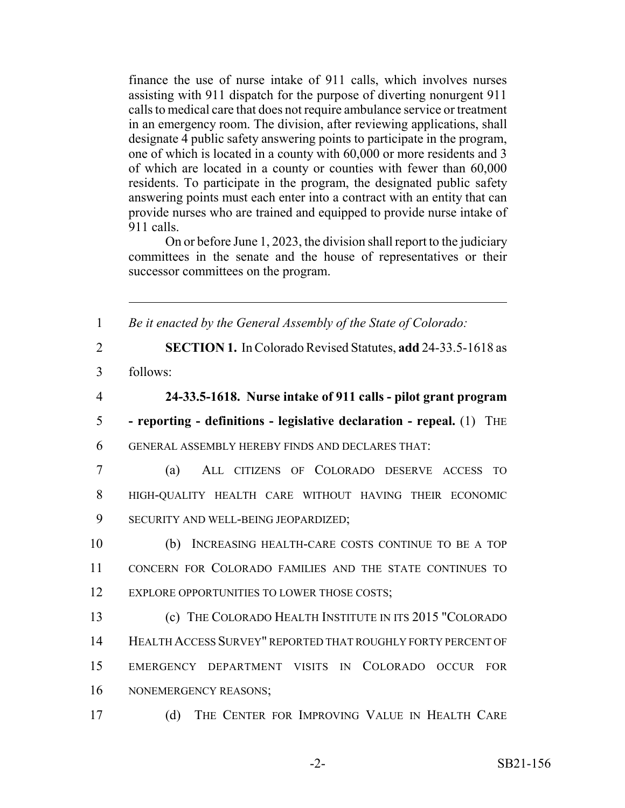finance the use of nurse intake of 911 calls, which involves nurses assisting with 911 dispatch for the purpose of diverting nonurgent 911 calls to medical care that does not require ambulance service or treatment in an emergency room. The division, after reviewing applications, shall designate 4 public safety answering points to participate in the program, one of which is located in a county with 60,000 or more residents and 3 of which are located in a county or counties with fewer than 60,000 residents. To participate in the program, the designated public safety answering points must each enter into a contract with an entity that can provide nurses who are trained and equipped to provide nurse intake of 911 calls.

On or before June 1, 2023, the division shall report to the judiciary committees in the senate and the house of representatives or their successor committees on the program.

| $\mathbf{1}$   | Be it enacted by the General Assembly of the State of Colorado:       |
|----------------|-----------------------------------------------------------------------|
| $\overline{2}$ | SECTION 1. In Colorado Revised Statutes, add 24-33.5-1618 as          |
| 3              | follows:                                                              |
| $\overline{4}$ | 24-33.5-1618. Nurse intake of 911 calls - pilot grant program         |
| 5              | - reporting - definitions - legislative declaration - repeal. (1) THE |
| 6              | GENERAL ASSEMBLY HEREBY FINDS AND DECLARES THAT:                      |
| $\overline{7}$ | (a)<br>ALL CITIZENS OF COLORADO DESERVE ACCESS<br><b>TO</b>           |
| 8              | HIGH-QUALITY HEALTH CARE WITHOUT HAVING THEIR ECONOMIC                |
| 9              | SECURITY AND WELL-BEING JEOPARDIZED;                                  |
| 10             | INCREASING HEALTH-CARE COSTS CONTINUE TO BE A TOP<br>(b)              |
| 11             | CONCERN FOR COLORADO FAMILIES AND THE STATE CONTINUES TO              |
| 12             | EXPLORE OPPORTUNITIES TO LOWER THOSE COSTS;                           |
| 13             | (c) THE COLORADO HEALTH INSTITUTE IN ITS 2015 "COLORADO               |
| 14             | HEALTH ACCESS SURVEY" REPORTED THAT ROUGHLY FORTY PERCENT OF          |
| 15             | EMERGENCY DEPARTMENT VISITS IN COLORADO OCCUR<br><b>FOR</b>           |
| 16             | NONEMERGENCY REASONS;                                                 |
| 17             | THE CENTER FOR IMPROVING VALUE IN HEALTH CARE<br>(d)                  |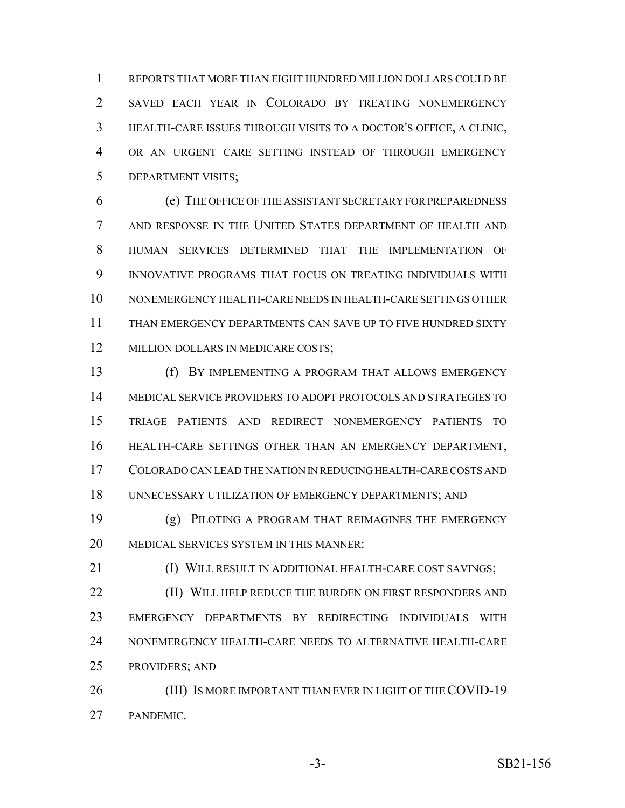REPORTS THAT MORE THAN EIGHT HUNDRED MILLION DOLLARS COULD BE SAVED EACH YEAR IN COLORADO BY TREATING NONEMERGENCY HEALTH-CARE ISSUES THROUGH VISITS TO A DOCTOR'S OFFICE, A CLINIC, OR AN URGENT CARE SETTING INSTEAD OF THROUGH EMERGENCY DEPARTMENT VISITS;

 (e) THE OFFICE OF THE ASSISTANT SECRETARY FOR PREPAREDNESS AND RESPONSE IN THE UNITED STATES DEPARTMENT OF HEALTH AND HUMAN SERVICES DETERMINED THAT THE IMPLEMENTATION OF INNOVATIVE PROGRAMS THAT FOCUS ON TREATING INDIVIDUALS WITH NONEMERGENCY HEALTH-CARE NEEDS IN HEALTH-CARE SETTINGS OTHER THAN EMERGENCY DEPARTMENTS CAN SAVE UP TO FIVE HUNDRED SIXTY 12 MILLION DOLLARS IN MEDICARE COSTS;

 (f) BY IMPLEMENTING A PROGRAM THAT ALLOWS EMERGENCY MEDICAL SERVICE PROVIDERS TO ADOPT PROTOCOLS AND STRATEGIES TO TRIAGE PATIENTS AND REDIRECT NONEMERGENCY PATIENTS TO HEALTH-CARE SETTINGS OTHER THAN AN EMERGENCY DEPARTMENT, COLORADO CAN LEAD THE NATION IN REDUCING HEALTH-CARE COSTS AND UNNECESSARY UTILIZATION OF EMERGENCY DEPARTMENTS; AND

 (g) PILOTING A PROGRAM THAT REIMAGINES THE EMERGENCY MEDICAL SERVICES SYSTEM IN THIS MANNER:

**(I) WILL RESULT IN ADDITIONAL HEALTH-CARE COST SAVINGS;** 

**(II) WILL HELP REDUCE THE BURDEN ON FIRST RESPONDERS AND**  EMERGENCY DEPARTMENTS BY REDIRECTING INDIVIDUALS WITH NONEMERGENCY HEALTH-CARE NEEDS TO ALTERNATIVE HEALTH-CARE PROVIDERS; AND

26 (III) IS MORE IMPORTANT THAN EVER IN LIGHT OF THE COVID-19 PANDEMIC.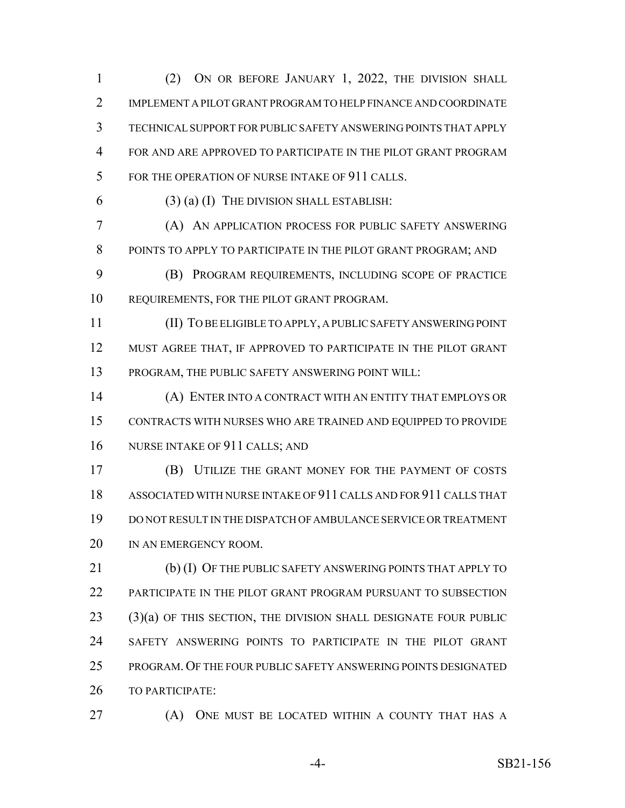(2) ON OR BEFORE JANUARY 1, 2022, THE DIVISION SHALL IMPLEMENT A PILOT GRANT PROGRAM TO HELP FINANCE AND COORDINATE TECHNICAL SUPPORT FOR PUBLIC SAFETY ANSWERING POINTS THAT APPLY FOR AND ARE APPROVED TO PARTICIPATE IN THE PILOT GRANT PROGRAM 5 FOR THE OPERATION OF NURSE INTAKE OF 911 CALLS.

(3) (a) (I) THE DIVISION SHALL ESTABLISH:

 (A) AN APPLICATION PROCESS FOR PUBLIC SAFETY ANSWERING POINTS TO APPLY TO PARTICIPATE IN THE PILOT GRANT PROGRAM; AND

 (B) PROGRAM REQUIREMENTS, INCLUDING SCOPE OF PRACTICE REQUIREMENTS, FOR THE PILOT GRANT PROGRAM.

 (II) TO BE ELIGIBLE TO APPLY, A PUBLIC SAFETY ANSWERING POINT MUST AGREE THAT, IF APPROVED TO PARTICIPATE IN THE PILOT GRANT PROGRAM, THE PUBLIC SAFETY ANSWERING POINT WILL:

 (A) ENTER INTO A CONTRACT WITH AN ENTITY THAT EMPLOYS OR CONTRACTS WITH NURSES WHO ARE TRAINED AND EQUIPPED TO PROVIDE NURSE INTAKE OF 911 CALLS; AND

 (B) UTILIZE THE GRANT MONEY FOR THE PAYMENT OF COSTS ASSOCIATED WITH NURSE INTAKE OF 911 CALLS AND FOR 911 CALLS THAT DO NOT RESULT IN THE DISPATCH OF AMBULANCE SERVICE OR TREATMENT 20 IN AN EMERGENCY ROOM.

21 (b) (I) OF THE PUBLIC SAFETY ANSWERING POINTS THAT APPLY TO PARTICIPATE IN THE PILOT GRANT PROGRAM PURSUANT TO SUBSECTION (3)(a) OF THIS SECTION, THE DIVISION SHALL DESIGNATE FOUR PUBLIC SAFETY ANSWERING POINTS TO PARTICIPATE IN THE PILOT GRANT PROGRAM. OF THE FOUR PUBLIC SAFETY ANSWERING POINTS DESIGNATED TO PARTICIPATE:

(A) ONE MUST BE LOCATED WITHIN A COUNTY THAT HAS A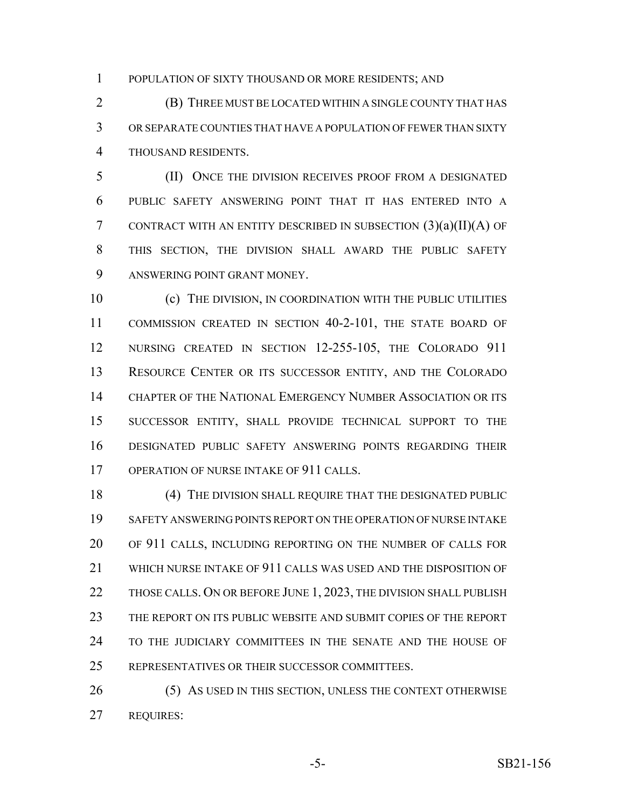POPULATION OF SIXTY THOUSAND OR MORE RESIDENTS; AND

 (B) THREE MUST BE LOCATED WITHIN A SINGLE COUNTY THAT HAS OR SEPARATE COUNTIES THAT HAVE A POPULATION OF FEWER THAN SIXTY THOUSAND RESIDENTS.

 (II) ONCE THE DIVISION RECEIVES PROOF FROM A DESIGNATED PUBLIC SAFETY ANSWERING POINT THAT IT HAS ENTERED INTO A 7 CONTRACT WITH AN ENTITY DESCRIBED IN SUBSECTION  $(3)(a)(II)(A)$  OF THIS SECTION, THE DIVISION SHALL AWARD THE PUBLIC SAFETY ANSWERING POINT GRANT MONEY.

 (c) THE DIVISION, IN COORDINATION WITH THE PUBLIC UTILITIES COMMISSION CREATED IN SECTION 40-2-101, THE STATE BOARD OF NURSING CREATED IN SECTION 12-255-105, THE COLORADO 911 RESOURCE CENTER OR ITS SUCCESSOR ENTITY, AND THE COLORADO CHAPTER OF THE NATIONAL EMERGENCY NUMBER ASSOCIATION OR ITS SUCCESSOR ENTITY, SHALL PROVIDE TECHNICAL SUPPORT TO THE DESIGNATED PUBLIC SAFETY ANSWERING POINTS REGARDING THEIR 17 OPERATION OF NURSE INTAKE OF 911 CALLS.

 (4) THE DIVISION SHALL REQUIRE THAT THE DESIGNATED PUBLIC SAFETY ANSWERING POINTS REPORT ON THE OPERATION OF NURSE INTAKE 20 OF 911 CALLS, INCLUDING REPORTING ON THE NUMBER OF CALLS FOR WHICH NURSE INTAKE OF 911 CALLS WAS USED AND THE DISPOSITION OF 22 THOSE CALLS. ON OR BEFORE JUNE 1, 2023, THE DIVISION SHALL PUBLISH THE REPORT ON ITS PUBLIC WEBSITE AND SUBMIT COPIES OF THE REPORT TO THE JUDICIARY COMMITTEES IN THE SENATE AND THE HOUSE OF REPRESENTATIVES OR THEIR SUCCESSOR COMMITTEES.

26 (5) AS USED IN THIS SECTION, UNLESS THE CONTEXT OTHERWISE REQUIRES: